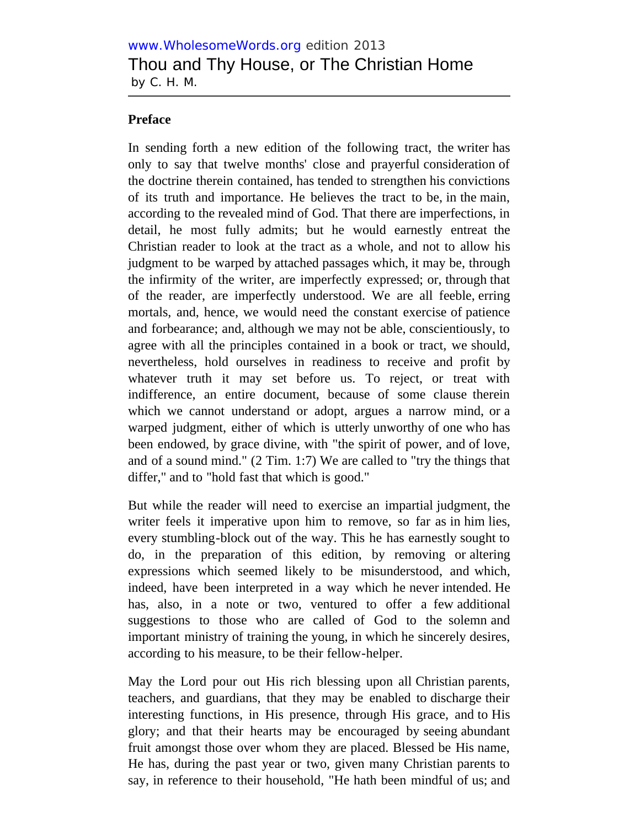## **Preface**

In sending forth a new edition of the following tract, the writer has only to say that twelve months' close and prayerful consideration of the doctrine therein contained, has tended to strengthen his convictions of its truth and importance. He believes the tract to be, in the main, according to the revealed mind of God. That there are imperfections, in detail, he most fully admits; but he would earnestly entreat the Christian reader to look at the tract as a whole, and not to allow his judgment to be warped by attached passages which, it may be, through the infirmity of the writer, are imperfectly expressed; or, through that of the reader, are imperfectly understood. We are all feeble, erring mortals, and, hence, we would need the constant exercise of patience and forbearance; and, although we may not be able, conscientiously, to agree with all the principles contained in a book or tract, we should, nevertheless, hold ourselves in readiness to receive and profit by whatever truth it may set before us. To reject, or treat with indifference, an entire document, because of some clause therein which we cannot understand or adopt, argues a narrow mind, or a warped judgment, either of which is utterly unworthy of one who has been endowed, by grace divine, with "the spirit of power, and of love, and of a sound mind." (2 Tim. 1:7) We are called to "try the things that differ," and to "hold fast that which is good."

But while the reader will need to exercise an impartial judgment, the writer feels it imperative upon him to remove, so far as in him lies, every stumbling-block out of the way. This he has earnestly sought to do, in the preparation of this edition, by removing or altering expressions which seemed likely to be misunderstood, and which, indeed, have been interpreted in a way which he never intended. He has, also, in a note or two, ventured to offer a few additional suggestions to those who are called of God to the solemn and important ministry of training the young, in which he sincerely desires, according to his measure, to be their fellow-helper.

May the Lord pour out His rich blessing upon all Christian parents, teachers, and guardians, that they may be enabled to discharge their interesting functions, in His presence, through His grace, and to His glory; and that their hearts may be encouraged by seeing abundant fruit amongst those over whom they are placed. Blessed be His name, He has, during the past year or two, given many Christian parents to say, in reference to their household, "He hath been mindful of us; and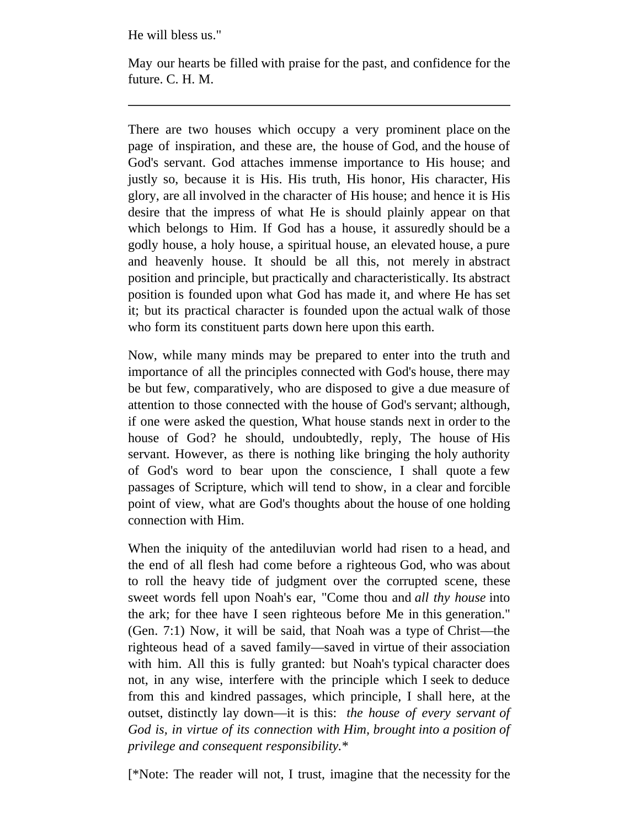He will bless us."

May our hearts be filled with praise for the past, and confidence for the future. C. H. M.

There are two houses which occupy a very prominent place on the page of inspiration, and these are, the house of God, and the house of God's servant. God attaches immense importance to His house; and justly so, because it is His. His truth, His honor, His character, His glory, are all involved in the character of His house; and hence it is His desire that the impress of what He is should plainly appear on that which belongs to Him. If God has a house, it assuredly should be a godly house, a holy house, a spiritual house, an elevated house, a pure and heavenly house. It should be all this, not merely in abstract position and principle, but practically and characteristically. Its abstract position is founded upon what God has made it, and where He has set it; but its practical character is founded upon the actual walk of those who form its constituent parts down here upon this earth.

Now, while many minds may be prepared to enter into the truth and importance of all the principles connected with God's house, there may be but few, comparatively, who are disposed to give a due measure of attention to those connected with the house of God's servant; although, if one were asked the question, What house stands next in order to the house of God? he should, undoubtedly, reply, The house of His servant. However, as there is nothing like bringing the holy authority of God's word to bear upon the conscience, I shall quote a few passages of Scripture, which will tend to show, in a clear and forcible point of view, what are God's thoughts about the house of one holding connection with Him.

When the iniquity of the antediluvian world had risen to a head, and the end of all flesh had come before a righteous God, who was about to roll the heavy tide of judgment over the corrupted scene, these sweet words fell upon Noah's ear, "Come thou and *all thy house* into the ark; for thee have I seen righteous before Me in this generation." (Gen. 7:1) Now, it will be said, that Noah was a type of Christ—the righteous head of a saved family—saved in virtue of their association with him. All this is fully granted: but Noah's typical character does not, in any wise, interfere with the principle which I seek to deduce from this and kindred passages, which principle, I shall here, at the outset, distinctly lay down—it is this: *the house of every servant of God is, in virtue of its connection with Him, brought into a position of privilege and consequent responsibility.*\*

[\*Note: The reader will not, I trust, imagine that the necessity for the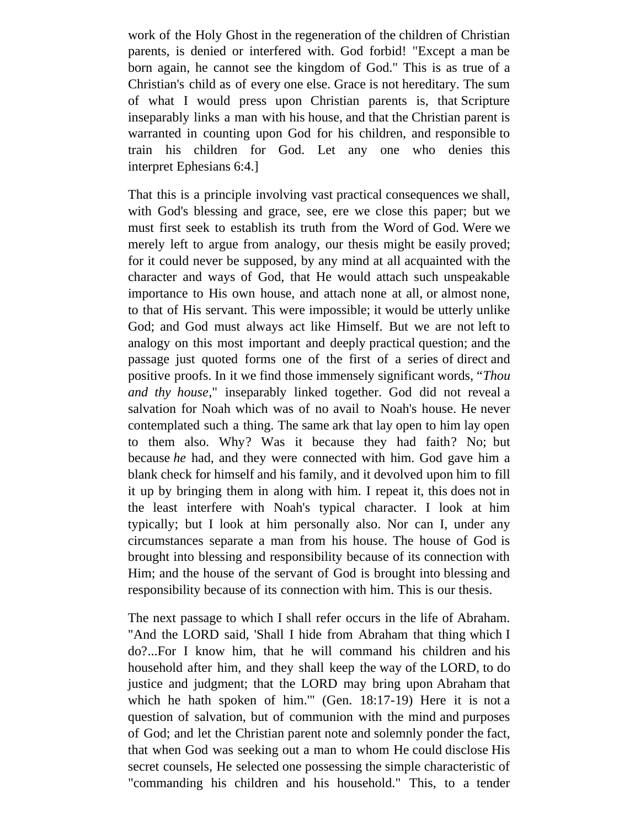work of the Holy Ghost in the regeneration of the children of Christian parents, is denied or interfered with. God forbid! "Except a man be born again, he cannot see the kingdom of God." This is as true of a Christian's child as of every one else. Grace is not hereditary. The sum of what I would press upon Christian parents is, that Scripture inseparably links a man with his house, and that the Christian parent is warranted in counting upon God for his children, and responsible to train his children for God. Let any one who denies this interpret Ephesians 6:4.]

That this is a principle involving vast practical consequences we shall, with God's blessing and grace, see, ere we close this paper; but we must first seek to establish its truth from the Word of God. Were we merely left to argue from analogy, our thesis might be easily proved; for it could never be supposed, by any mind at all acquainted with the character and ways of God, that He would attach such unspeakable importance to His own house, and attach none at all, or almost none, to that of His servant. This were impossible; it would be utterly unlike God; and God must always act like Himself. But we are not left to analogy on this most important and deeply practical question; and the passage just quoted forms one of the first of a series of direct and positive proofs. In it we find those immensely significant words, "*Thou and thy house*," inseparably linked together. God did not reveal a salvation for Noah which was of no avail to Noah's house. He never contemplated such a thing. The same ark that lay open to him lay open to them also. Why? Was it because they had faith? No; but because *he* had, and they were connected with him. God gave him a blank check for himself and his family, and it devolved upon him to fill it up by bringing them in along with him. I repeat it, this does not in the least interfere with Noah's typical character. I look at him typically; but I look at him personally also. Nor can I, under any circumstances separate a man from his house. The house of God is brought into blessing and responsibility because of its connection with Him; and the house of the servant of God is brought into blessing and responsibility because of its connection with him. This is our thesis.

The next passage to which I shall refer occurs in the life of Abraham. "And the LORD said, 'Shall I hide from Abraham that thing which I do?...For I know him, that he will command his children and his household after him, and they shall keep the way of the LORD, to do justice and judgment; that the LORD may bring upon Abraham that which he hath spoken of him.'" (Gen. 18:17-19) Here it is not a question of salvation, but of communion with the mind and purposes of God; and let the Christian parent note and solemnly ponder the fact, that when God was seeking out a man to whom He could disclose His secret counsels, He selected one possessing the simple characteristic of "commanding his children and his household." This, to a tender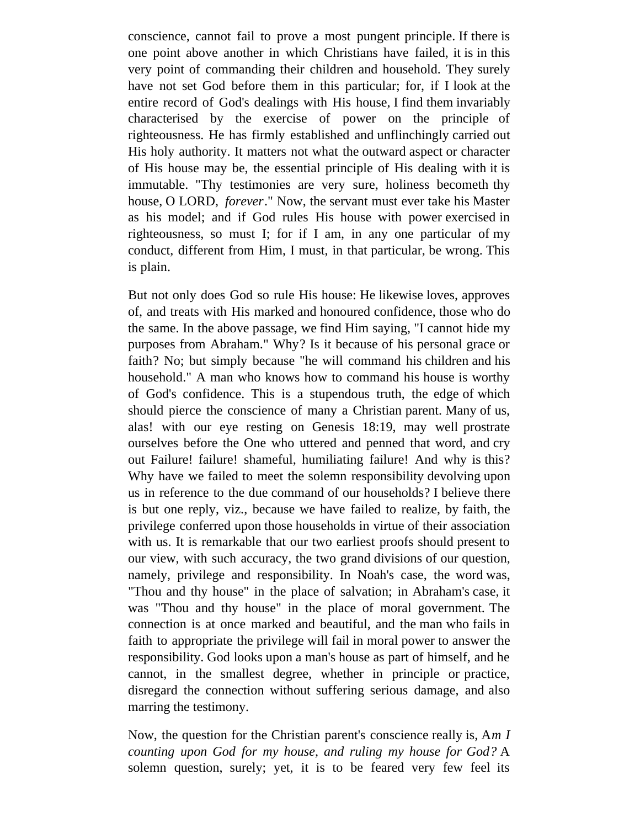conscience, cannot fail to prove a most pungent principle. If there is one point above another in which Christians have failed, it is in this very point of commanding their children and household. They surely have not set God before them in this particular; for, if I look at the entire record of God's dealings with His house, I find them invariably characterised by the exercise of power on the principle of righteousness. He has firmly established and unflinchingly carried out His holy authority. It matters not what the outward aspect or character of His house may be, the essential principle of His dealing with it is immutable. "Thy testimonies are very sure, holiness becometh thy house, O LORD, *forever*." Now, the servant must ever take his Master as his model; and if God rules His house with power exercised in righteousness, so must I; for if I am, in any one particular of my conduct, different from Him, I must, in that particular, be wrong. This is plain.

But not only does God so rule His house: He likewise loves, approves of, and treats with His marked and honoured confidence, those who do the same. In the above passage, we find Him saying, "I cannot hide my purposes from Abraham." Why? Is it because of his personal grace or faith? No; but simply because "he will command his children and his household." A man who knows how to command his house is worthy of God's confidence. This is a stupendous truth, the edge of which should pierce the conscience of many a Christian parent. Many of us, alas! with our eye resting on Genesis 18:19, may well prostrate ourselves before the One who uttered and penned that word, and cry out Failure! failure! shameful, humiliating failure! And why is this? Why have we failed to meet the solemn responsibility devolving upon us in reference to the due command of our households? I believe there is but one reply, viz., because we have failed to realize, by faith, the privilege conferred upon those households in virtue of their association with us. It is remarkable that our two earliest proofs should present to our view, with such accuracy, the two grand divisions of our question, namely, privilege and responsibility. In Noah's case, the word was, "Thou and thy house" in the place of salvation; in Abraham's case, it was "Thou and thy house" in the place of moral government. The connection is at once marked and beautiful, and the man who fails in faith to appropriate the privilege will fail in moral power to answer the responsibility. God looks upon a man's house as part of himself, and he cannot, in the smallest degree, whether in principle or practice, disregard the connection without suffering serious damage, and also marring the testimony.

Now, the question for the Christian parent's conscience really is, A*m I counting upon God for my house, and ruling my house for God?* A solemn question, surely; yet, it is to be feared very few feel its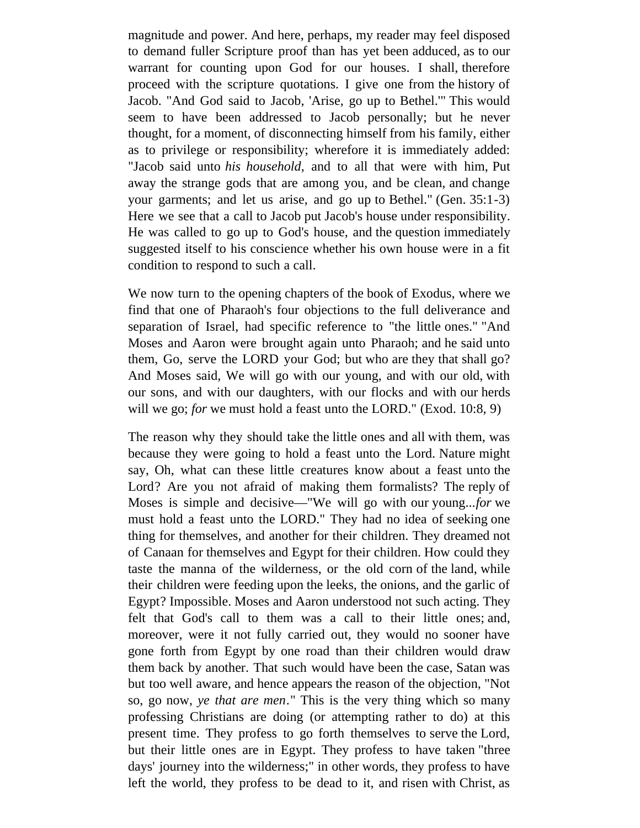magnitude and power. And here, perhaps, my reader may feel disposed to demand fuller Scripture proof than has yet been adduced, as to our warrant for counting upon God for our houses. I shall, therefore proceed with the scripture quotations. I give one from the history of Jacob. "And God said to Jacob, 'Arise, go up to Bethel.'" This would seem to have been addressed to Jacob personally; but he never thought, for a moment, of disconnecting himself from his family, either as to privilege or responsibility; wherefore it is immediately added: "Jacob said unto *his household*, and to all that were with him, Put away the strange gods that are among you, and be clean, and change your garments; and let us arise, and go up to Bethel." (Gen. 35:1-3) Here we see that a call to Jacob put Jacob's house under responsibility. He was called to go up to God's house, and the question immediately suggested itself to his conscience whether his own house were in a fit condition to respond to such a call.

We now turn to the opening chapters of the book of Exodus, where we find that one of Pharaoh's four objections to the full deliverance and separation of Israel, had specific reference to "the little ones." "And Moses and Aaron were brought again unto Pharaoh; and he said unto them, Go, serve the LORD your God; but who are they that shall go? And Moses said, We will go with our young, and with our old, with our sons, and with our daughters, with our flocks and with our herds will we go; *for* we must hold a feast unto the LORD." (Exod. 10:8, 9)

The reason why they should take the little ones and all with them, was because they were going to hold a feast unto the Lord. Nature might say, Oh, what can these little creatures know about a feast unto the Lord? Are you not afraid of making them formalists? The reply of Moses is simple and decisive—"We will go with our young...*for* we must hold a feast unto the LORD." They had no idea of seeking one thing for themselves, and another for their children. They dreamed not of Canaan for themselves and Egypt for their children. How could they taste the manna of the wilderness, or the old corn of the land, while their children were feeding upon the leeks, the onions, and the garlic of Egypt? Impossible. Moses and Aaron understood not such acting. They felt that God's call to them was a call to their little ones; and, moreover, were it not fully carried out, they would no sooner have gone forth from Egypt by one road than their children would draw them back by another. That such would have been the case, Satan was but too well aware, and hence appears the reason of the objection, "Not so, go now, *ye that are men*." This is the very thing which so many professing Christians are doing (or attempting rather to do) at this present time. They profess to go forth themselves to serve the Lord, but their little ones are in Egypt. They profess to have taken "three days' journey into the wilderness;" in other words, they profess to have left the world, they profess to be dead to it, and risen with Christ, as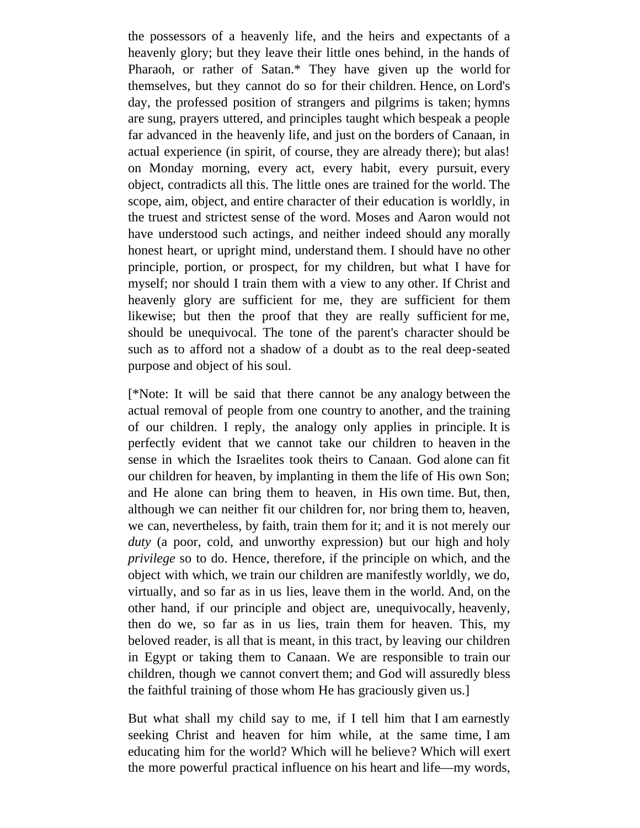the possessors of a heavenly life, and the heirs and expectants of a heavenly glory; but they leave their little ones behind, in the hands of Pharaoh, or rather of Satan.\* They have given up the world for themselves, but they cannot do so for their children. Hence, on Lord's day, the professed position of strangers and pilgrims is taken; hymns are sung, prayers uttered, and principles taught which bespeak a people far advanced in the heavenly life, and just on the borders of Canaan, in actual experience (in spirit, of course, they are already there); but alas! on Monday morning, every act, every habit, every pursuit, every object, contradicts all this. The little ones are trained for the world. The scope, aim, object, and entire character of their education is worldly, in the truest and strictest sense of the word. Moses and Aaron would not have understood such actings, and neither indeed should any morally honest heart, or upright mind, understand them. I should have no other principle, portion, or prospect, for my children, but what I have for myself; nor should I train them with a view to any other. If Christ and heavenly glory are sufficient for me, they are sufficient for them likewise; but then the proof that they are really sufficient for me, should be unequivocal. The tone of the parent's character should be such as to afford not a shadow of a doubt as to the real deep-seated purpose and object of his soul.

[\*Note: It will be said that there cannot be any analogy between the actual removal of people from one country to another, and the training of our children. I reply, the analogy only applies in principle. It is perfectly evident that we cannot take our children to heaven in the sense in which the Israelites took theirs to Canaan. God alone can fit our children for heaven, by implanting in them the life of His own Son; and He alone can bring them to heaven, in His own time. But, then, although we can neither fit our children for, nor bring them to, heaven, we can, nevertheless, by faith, train them for it; and it is not merely our *duty* (a poor, cold, and unworthy expression) but our high and holy *privilege* so to do. Hence, therefore, if the principle on which, and the object with which, we train our children are manifestly worldly, we do, virtually, and so far as in us lies, leave them in the world. And, on the other hand, if our principle and object are, unequivocally, heavenly, then do we, so far as in us lies, train them for heaven. This, my beloved reader, is all that is meant, in this tract, by leaving our children in Egypt or taking them to Canaan. We are responsible to train our children, though we cannot convert them; and God will assuredly bless the faithful training of those whom He has graciously given us.]

But what shall my child say to me, if I tell him that I am earnestly seeking Christ and heaven for him while, at the same time, I am educating him for the world? Which will he believe? Which will exert the more powerful practical influence on his heart and life—my words,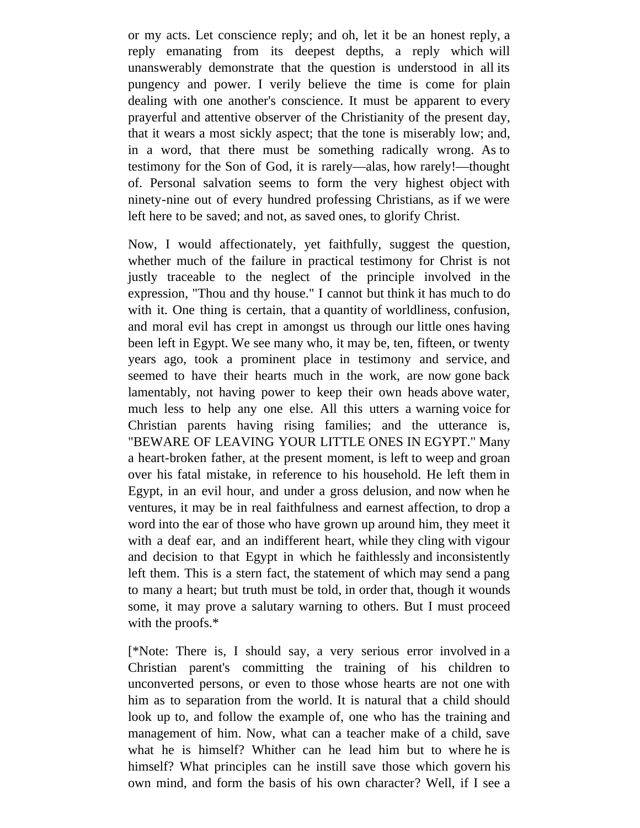or my acts. Let conscience reply; and oh, let it be an honest reply, a reply emanating from its deepest depths, a reply which will unanswerably demonstrate that the question is understood in all its pungency and power. I verily believe the time is come for plain dealing with one another's conscience. It must be apparent to every prayerful and attentive observer of the Christianity of the present day, that it wears a most sickly aspect; that the tone is miserably low; and, in a word, that there must be something radically wrong. As to testimony for the Son of God, it is rarely—alas, how rarely!—thought of. Personal salvation seems to form the very highest object with ninety-nine out of every hundred professing Christians, as if we were left here to be saved; and not, as saved ones, to glorify Christ.

Now, I would affectionately, yet faithfully, suggest the question, whether much of the failure in practical testimony for Christ is not justly traceable to the neglect of the principle involved in the expression, "Thou and thy house." I cannot but think it has much to do with it. One thing is certain, that a quantity of worldliness, confusion, and moral evil has crept in amongst us through our little ones having been left in Egypt. We see many who, it may be, ten, fifteen, or twenty years ago, took a prominent place in testimony and service, and seemed to have their hearts much in the work, are now gone back lamentably, not having power to keep their own heads above water, much less to help any one else. All this utters a warning voice for Christian parents having rising families; and the utterance is, "BEWARE OF LEAVING YOUR LITTLE ONES IN EGYPT." Many a heart-broken father, at the present moment, is left to weep and groan over his fatal mistake, in reference to his household. He left them in Egypt, in an evil hour, and under a gross delusion, and now when he ventures, it may be in real faithfulness and earnest affection, to drop a word into the ear of those who have grown up around him, they meet it with a deaf ear, and an indifferent heart, while they cling with vigour and decision to that Egypt in which he faithlessly and inconsistently left them. This is a stern fact, the statement of which may send a pang to many a heart; but truth must be told, in order that, though it wounds some, it may prove a salutary warning to others. But I must proceed with the proofs.\*

[\*Note: There is, I should say, a very serious error involved in a Christian parent's committing the training of his children to unconverted persons, or even to those whose hearts are not one with him as to separation from the world. It is natural that a child should look up to, and follow the example of, one who has the training and management of him. Now, what can a teacher make of a child, save what he is himself? Whither can he lead him but to where he is himself? What principles can he instill save those which govern his own mind, and form the basis of his own character? Well, if I see a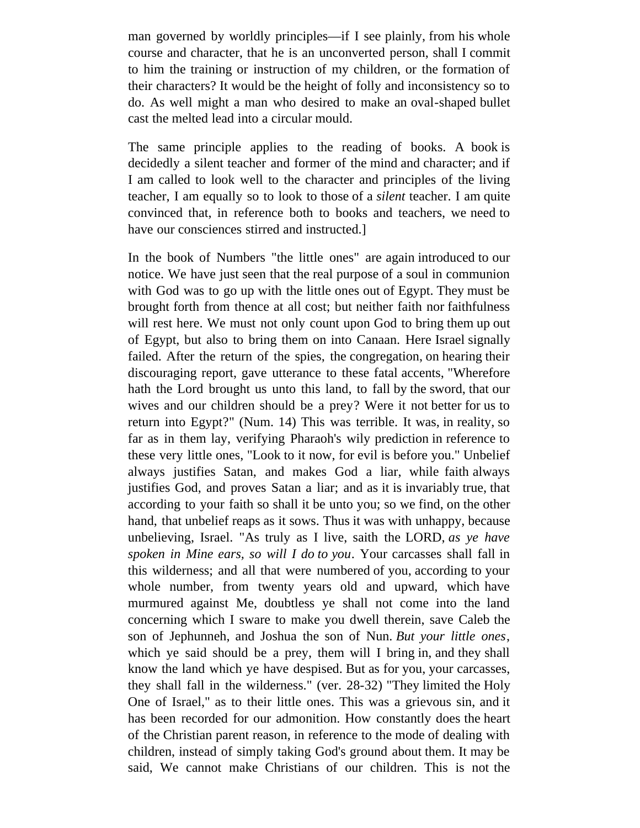man governed by worldly principles—if I see plainly, from his whole course and character, that he is an unconverted person, shall I commit to him the training or instruction of my children, or the formation of their characters? It would be the height of folly and inconsistency so to do. As well might a man who desired to make an oval-shaped bullet cast the melted lead into a circular mould.

The same principle applies to the reading of books. A book is decidedly a silent teacher and former of the mind and character; and if I am called to look well to the character and principles of the living teacher, I am equally so to look to those of a *silent* teacher. I am quite convinced that, in reference both to books and teachers, we need to have our consciences stirred and instructed.]

In the book of Numbers "the little ones" are again introduced to our notice. We have just seen that the real purpose of a soul in communion with God was to go up with the little ones out of Egypt. They must be brought forth from thence at all cost; but neither faith nor faithfulness will rest here. We must not only count upon God to bring them up out of Egypt, but also to bring them on into Canaan. Here Israel signally failed. After the return of the spies, the congregation, on hearing their discouraging report, gave utterance to these fatal accents, "Wherefore hath the Lord brought us unto this land, to fall by the sword, that our wives and our children should be a prey? Were it not better for us to return into Egypt?" (Num. 14) This was terrible. It was, in reality, so far as in them lay, verifying Pharaoh's wily prediction in reference to these very little ones, "Look to it now, for evil is before you." Unbelief always justifies Satan, and makes God a liar, while faith always justifies God, and proves Satan a liar; and as it is invariably true, that according to your faith so shall it be unto you; so we find, on the other hand, that unbelief reaps as it sows. Thus it was with unhappy, because unbelieving, Israel. "As truly as I live, saith the LORD, *as ye have spoken in Mine ears, so will I do to you*. Your carcasses shall fall in this wilderness; and all that were numbered of you, according to your whole number, from twenty years old and upward, which have murmured against Me, doubtless ye shall not come into the land concerning which I sware to make you dwell therein, save Caleb the son of Jephunneh, and Joshua the son of Nun. *But your little ones*, which ye said should be a prey, them will I bring in, and they shall know the land which ye have despised. But as for you, your carcasses, they shall fall in the wilderness." (ver. 28-32) "They limited the Holy One of Israel," as to their little ones. This was a grievous sin, and it has been recorded for our admonition. How constantly does the heart of the Christian parent reason, in reference to the mode of dealing with children, instead of simply taking God's ground about them. It may be said, We cannot make Christians of our children. This is not the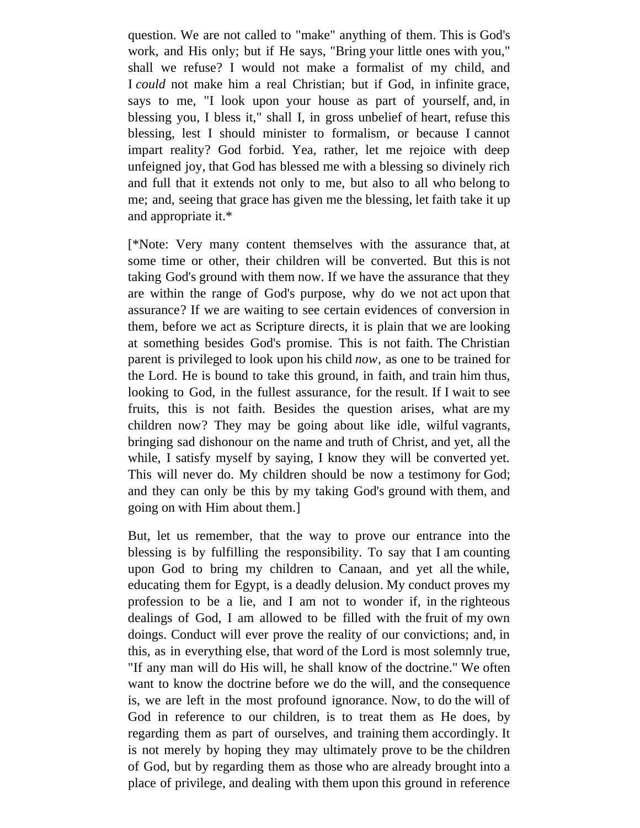question. We are not called to "make" anything of them. This is God's work, and His only; but if He says, "Bring your little ones with you," shall we refuse? I would not make a formalist of my child, and I *could* not make him a real Christian; but if God, in infinite grace, says to me, "I look upon your house as part of yourself, and, in blessing you, I bless it," shall I, in gross unbelief of heart, refuse this blessing, lest I should minister to formalism, or because I cannot impart reality? God forbid. Yea, rather, let me rejoice with deep unfeigned joy, that God has blessed me with a blessing so divinely rich and full that it extends not only to me, but also to all who belong to me; and, seeing that grace has given me the blessing, let faith take it up and appropriate it.\*

[\*Note: Very many content themselves with the assurance that, at some time or other, their children will be converted. But this is not taking God's ground with them now. If we have the assurance that they are within the range of God's purpose, why do we not act upon that assurance? If we are waiting to see certain evidences of conversion in them, before we act as Scripture directs, it is plain that we are looking at something besides God's promise. This is not faith. The Christian parent is privileged to look upon his child *now*, as one to be trained for the Lord. He is bound to take this ground, in faith, and train him thus, looking to God, in the fullest assurance, for the result. If I wait to see fruits, this is not faith. Besides the question arises, what are my children now? They may be going about like idle, wilful vagrants, bringing sad dishonour on the name and truth of Christ, and yet, all the while, I satisfy myself by saying, I know they will be converted yet. This will never do. My children should be now a testimony for God; and they can only be this by my taking God's ground with them, and going on with Him about them.]

But, let us remember, that the way to prove our entrance into the blessing is by fulfilling the responsibility. To say that I am counting upon God to bring my children to Canaan, and yet all the while, educating them for Egypt, is a deadly delusion. My conduct proves my profession to be a lie, and I am not to wonder if, in the righteous dealings of God, I am allowed to be filled with the fruit of my own doings. Conduct will ever prove the reality of our convictions; and, in this, as in everything else, that word of the Lord is most solemnly true, "If any man will do His will, he shall know of the doctrine." We often want to know the doctrine before we do the will, and the consequence is, we are left in the most profound ignorance. Now, to do the will of God in reference to our children, is to treat them as He does, by regarding them as part of ourselves, and training them accordingly. It is not merely by hoping they may ultimately prove to be the children of God, but by regarding them as those who are already brought into a place of privilege, and dealing with them upon this ground in reference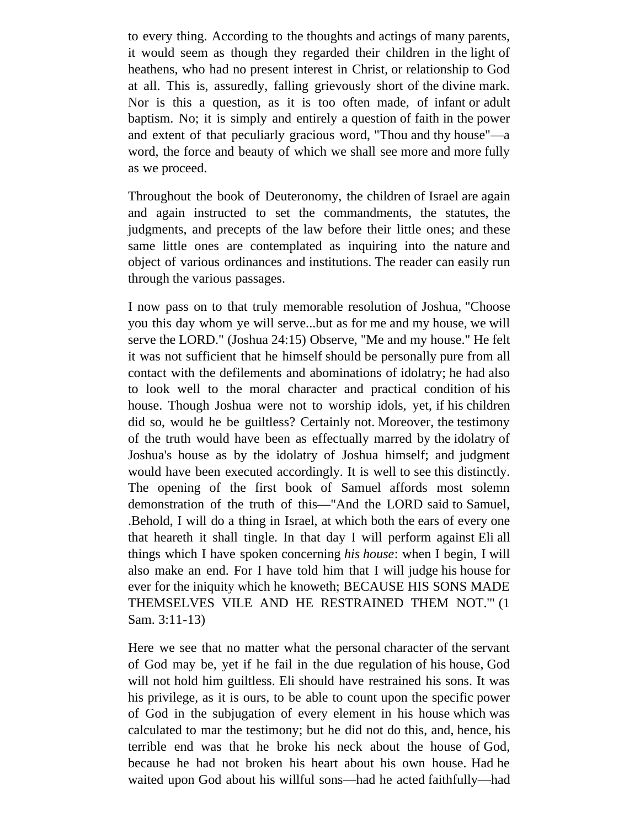to every thing. According to the thoughts and actings of many parents, it would seem as though they regarded their children in the light of heathens, who had no present interest in Christ, or relationship to God at all. This is, assuredly, falling grievously short of the divine mark. Nor is this a question, as it is too often made, of infant or adult baptism. No; it is simply and entirely a question of faith in the power and extent of that peculiarly gracious word, "Thou and thy house"—a word, the force and beauty of which we shall see more and more fully as we proceed.

Throughout the book of Deuteronomy, the children of Israel are again and again instructed to set the commandments, the statutes, the judgments, and precepts of the law before their little ones; and these same little ones are contemplated as inquiring into the nature and object of various ordinances and institutions. The reader can easily run through the various passages.

I now pass on to that truly memorable resolution of Joshua, "Choose you this day whom ye will serve...but as for me and my house, we will serve the LORD." (Joshua 24:15) Observe, "Me and my house." He felt it was not sufficient that he himself should be personally pure from all contact with the defilements and abominations of idolatry; he had also to look well to the moral character and practical condition of his house. Though Joshua were not to worship idols, yet, if his children did so, would he be guiltless? Certainly not. Moreover, the testimony of the truth would have been as effectually marred by the idolatry of Joshua's house as by the idolatry of Joshua himself; and judgment would have been executed accordingly. It is well to see this distinctly. The opening of the first book of Samuel affords most solemn demonstration of the truth of this—"And the LORD said to Samuel, .Behold, I will do a thing in Israel, at which both the ears of every one that heareth it shall tingle. In that day I will perform against Eli all things which I have spoken concerning *his house*: when I begin, I will also make an end. For I have told him that I will judge his house for ever for the iniquity which he knoweth; BECAUSE HIS SONS MADE THEMSELVES VILE AND HE RESTRAINED THEM NOT.'" (1 Sam. 3:11-13)

Here we see that no matter what the personal character of the servant of God may be, yet if he fail in the due regulation of his house, God will not hold him guiltless. Eli should have restrained his sons. It was his privilege, as it is ours, to be able to count upon the specific power of God in the subjugation of every element in his house which was calculated to mar the testimony; but he did not do this, and, hence, his terrible end was that he broke his neck about the house of God, because he had not broken his heart about his own house. Had he waited upon God about his willful sons—had he acted faithfully—had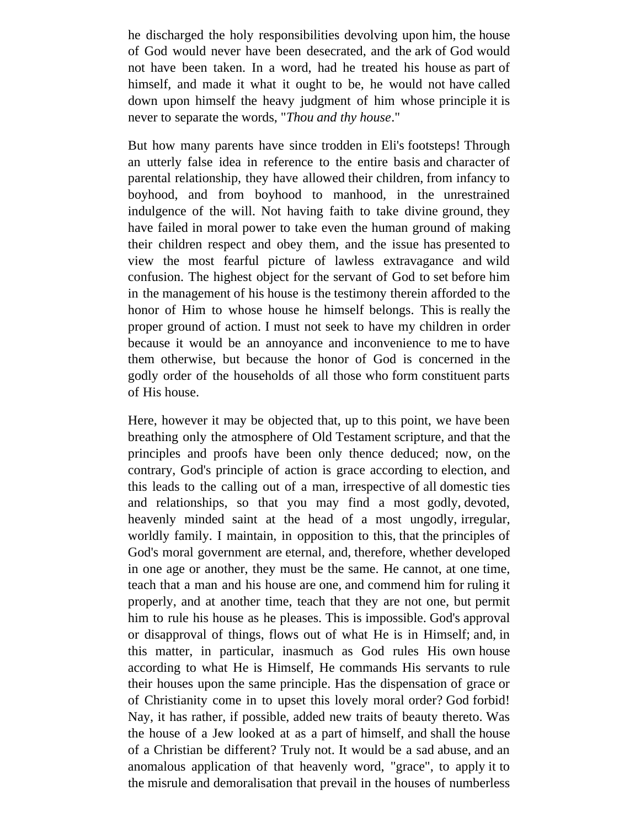he discharged the holy responsibilities devolving upon him, the house of God would never have been desecrated, and the ark of God would not have been taken. In a word, had he treated his house as part of himself, and made it what it ought to be, he would not have called down upon himself the heavy judgment of him whose principle it is never to separate the words, "*Thou and thy house*."

But how many parents have since trodden in Eli's footsteps! Through an utterly false idea in reference to the entire basis and character of parental relationship, they have allowed their children, from infancy to boyhood, and from boyhood to manhood, in the unrestrained indulgence of the will. Not having faith to take divine ground, they have failed in moral power to take even the human ground of making their children respect and obey them, and the issue has presented to view the most fearful picture of lawless extravagance and wild confusion. The highest object for the servant of God to set before him in the management of his house is the testimony therein afforded to the honor of Him to whose house he himself belongs. This is really the proper ground of action. I must not seek to have my children in order because it would be an annoyance and inconvenience to me to have them otherwise, but because the honor of God is concerned in the godly order of the households of all those who form constituent parts of His house.

Here, however it may be objected that, up to this point, we have been breathing only the atmosphere of Old Testament scripture, and that the principles and proofs have been only thence deduced; now, on the contrary, God's principle of action is grace according to election, and this leads to the calling out of a man, irrespective of all domestic ties and relationships, so that you may find a most godly, devoted, heavenly minded saint at the head of a most ungodly, irregular, worldly family. I maintain, in opposition to this, that the principles of God's moral government are eternal, and, therefore, whether developed in one age or another, they must be the same. He cannot, at one time, teach that a man and his house are one, and commend him for ruling it properly, and at another time, teach that they are not one, but permit him to rule his house as he pleases. This is impossible. God's approval or disapproval of things, flows out of what He is in Himself; and, in this matter, in particular, inasmuch as God rules His own house according to what He is Himself, He commands His servants to rule their houses upon the same principle. Has the dispensation of grace or of Christianity come in to upset this lovely moral order? God forbid! Nay, it has rather, if possible, added new traits of beauty thereto. Was the house of a Jew looked at as a part of himself, and shall the house of a Christian be different? Truly not. It would be a sad abuse, and an anomalous application of that heavenly word, "grace", to apply it to the misrule and demoralisation that prevail in the houses of numberless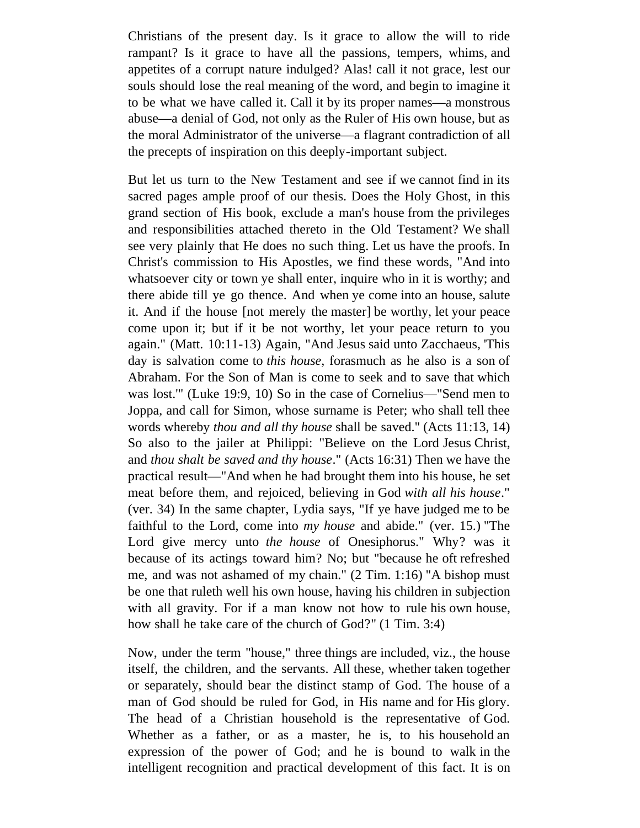Christians of the present day. Is it grace to allow the will to ride rampant? Is it grace to have all the passions, tempers, whims, and appetites of a corrupt nature indulged? Alas! call it not grace, lest our souls should lose the real meaning of the word, and begin to imagine it to be what we have called it. Call it by its proper names—a monstrous abuse—a denial of God, not only as the Ruler of His own house, but as the moral Administrator of the universe—a flagrant contradiction of all the precepts of inspiration on this deeply-important subject.

But let us turn to the New Testament and see if we cannot find in its sacred pages ample proof of our thesis. Does the Holy Ghost, in this grand section of His book, exclude a man's house from the privileges and responsibilities attached thereto in the Old Testament? We shall see very plainly that He does no such thing. Let us have the proofs. In Christ's commission to His Apostles, we find these words, "And into whatsoever city or town ye shall enter, inquire who in it is worthy; and there abide till ye go thence. And when ye come into an house, salute it. And if the house [not merely the master] be worthy, let your peace come upon it; but if it be not worthy, let your peace return to you again." (Matt. 10:11-13) Again, "And Jesus said unto Zacchaeus, 'This day is salvation come to *this house,* forasmuch as he also is a son of Abraham. For the Son of Man is come to seek and to save that which was lost.'" (Luke 19:9, 10) So in the case of Cornelius—"Send men to Joppa, and call for Simon, whose surname is Peter; who shall tell thee words whereby *thou and all thy house* shall be saved." (Acts 11:13, 14) So also to the jailer at Philippi: "Believe on the Lord Jesus Christ, and *thou shalt be saved and thy house*." (Acts 16:31) Then we have the practical result—"And when he had brought them into his house, he set meat before them, and rejoiced, believing in God *with all his house*." (ver. 34) In the same chapter, Lydia says, "If ye have judged me to be faithful to the Lord, come into *my house* and abide." (ver. 15.) "The Lord give mercy unto *the house* of Onesiphorus." Why? was it because of its actings toward him? No; but "because he oft refreshed me, and was not ashamed of my chain." (2 Tim. 1:16) "A bishop must be one that ruleth well his own house, having his children in subjection with all gravity. For if a man know not how to rule his own house, how shall he take care of the church of God?" (1 Tim. 3:4)

Now, under the term "house," three things are included, viz., the house itself, the children, and the servants. All these, whether taken together or separately, should bear the distinct stamp of God. The house of a man of God should be ruled for God, in His name and for His glory. The head of a Christian household is the representative of God. Whether as a father, or as a master, he is, to his household an expression of the power of God; and he is bound to walk in the intelligent recognition and practical development of this fact. It is on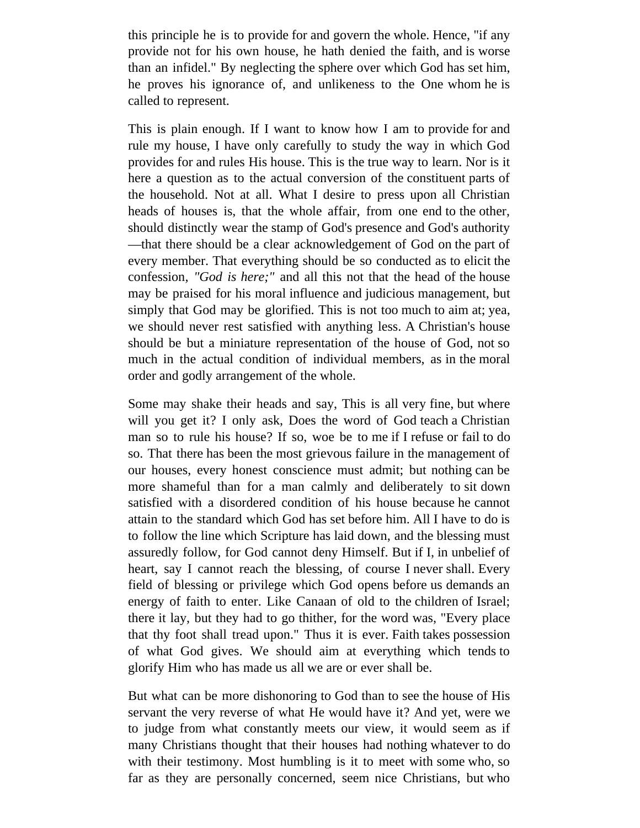this principle he is to provide for and govern the whole. Hence, "if any provide not for his own house, he hath denied the faith, and is worse than an infidel." By neglecting the sphere over which God has set him, he proves his ignorance of, and unlikeness to the One whom he is called to represent.

This is plain enough. If I want to know how I am to provide for and rule my house, I have only carefully to study the way in which God provides for and rules His house. This is the true way to learn. Nor is it here a question as to the actual conversion of the constituent parts of the household. Not at all. What I desire to press upon all Christian heads of houses is, that the whole affair, from one end to the other, should distinctly wear the stamp of God's presence and God's authority —that there should be a clear acknowledgement of God on the part of every member. That everything should be so conducted as to elicit the confession*, "God is here;"* and all this not that the head of the house may be praised for his moral influence and judicious management, but simply that God may be glorified. This is not too much to aim at; yea, we should never rest satisfied with anything less. A Christian's house should be but a miniature representation of the house of God, not so much in the actual condition of individual members, as in the moral order and godly arrangement of the whole.

Some may shake their heads and say, This is all very fine, but where will you get it? I only ask, Does the word of God teach a Christian man so to rule his house? If so, woe be to me if I refuse or fail to do so. That there has been the most grievous failure in the management of our houses, every honest conscience must admit; but nothing can be more shameful than for a man calmly and deliberately to sit down satisfied with a disordered condition of his house because he cannot attain to the standard which God has set before him. All I have to do is to follow the line which Scripture has laid down, and the blessing must assuredly follow, for God cannot deny Himself. But if I, in unbelief of heart, say I cannot reach the blessing, of course I never shall. Every field of blessing or privilege which God opens before us demands an energy of faith to enter. Like Canaan of old to the children of Israel; there it lay, but they had to go thither, for the word was, "Every place that thy foot shall tread upon." Thus it is ever. Faith takes possession of what God gives. We should aim at everything which tends to glorify Him who has made us all we are or ever shall be.

But what can be more dishonoring to God than to see the house of His servant the very reverse of what He would have it? And yet, were we to judge from what constantly meets our view, it would seem as if many Christians thought that their houses had nothing whatever to do with their testimony. Most humbling is it to meet with some who, so far as they are personally concerned, seem nice Christians, but who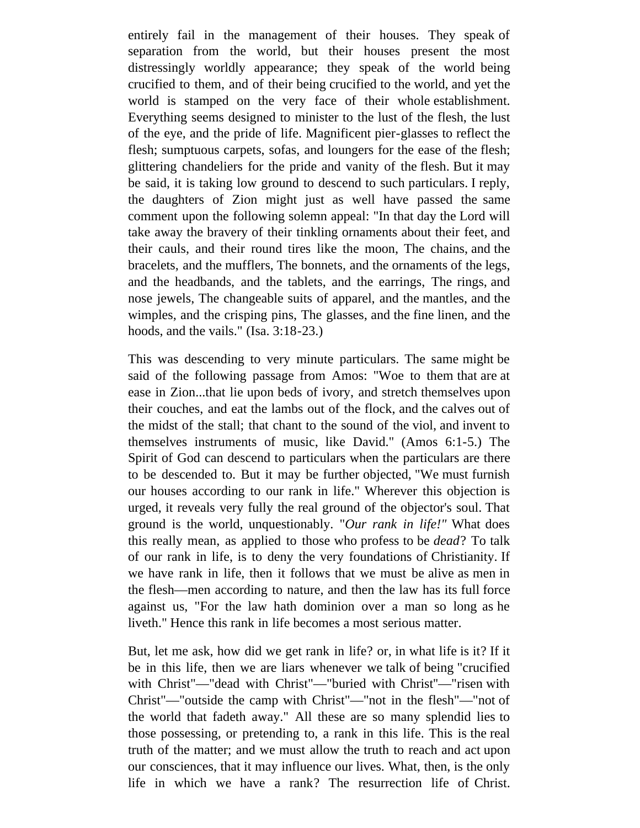entirely fail in the management of their houses. They speak of separation from the world, but their houses present the most distressingly worldly appearance; they speak of the world being crucified to them, and of their being crucified to the world, and yet the world is stamped on the very face of their whole establishment. Everything seems designed to minister to the lust of the flesh, the lust of the eye, and the pride of life. Magnificent pier-glasses to reflect the flesh; sumptuous carpets, sofas, and loungers for the ease of the flesh; glittering chandeliers for the pride and vanity of the flesh. But it may be said, it is taking low ground to descend to such particulars. I reply, the daughters of Zion might just as well have passed the same comment upon the following solemn appeal: "In that day the Lord will take away the bravery of their tinkling ornaments about their feet, and their cauls, and their round tires like the moon, The chains, and the bracelets, and the mufflers, The bonnets, and the ornaments of the legs, and the headbands, and the tablets, and the earrings, The rings, and nose jewels, The changeable suits of apparel, and the mantles, and the wimples, and the crisping pins, The glasses, and the fine linen, and the hoods, and the vails." (Isa. 3:18-23.)

This was descending to very minute particulars. The same might be said of the following passage from Amos: "Woe to them that are at ease in Zion...that lie upon beds of ivory, and stretch themselves upon their couches, and eat the lambs out of the flock, and the calves out of the midst of the stall; that chant to the sound of the viol, and invent to themselves instruments of music, like David." (Amos 6:1-5.) The Spirit of God can descend to particulars when the particulars are there to be descended to. But it may be further objected, "We must furnish our houses according to our rank in life." Wherever this objection is urged, it reveals very fully the real ground of the objector's soul. That ground is the world, unquestionably. "*Our rank in life!"* What does this really mean, as applied to those who profess to be *dead*? To talk of our rank in life, is to deny the very foundations of Christianity. If we have rank in life, then it follows that we must be alive as men in the flesh—men according to nature, and then the law has its full force against us, "For the law hath dominion over a man so long as he liveth." Hence this rank in life becomes a most serious matter.

But, let me ask, how did we get rank in life? or, in what life is it? If it be in this life, then we are liars whenever we talk of being "crucified with Christ"—"dead with Christ"—"buried with Christ''—"risen with Christ"—"outside the camp with Christ"—"not in the flesh"—"not of the world that fadeth away." All these are so many splendid lies to those possessing, or pretending to, a rank in this life. This is the real truth of the matter; and we must allow the truth to reach and act upon our consciences, that it may influence our lives. What, then, is the only life in which we have a rank? The resurrection life of Christ.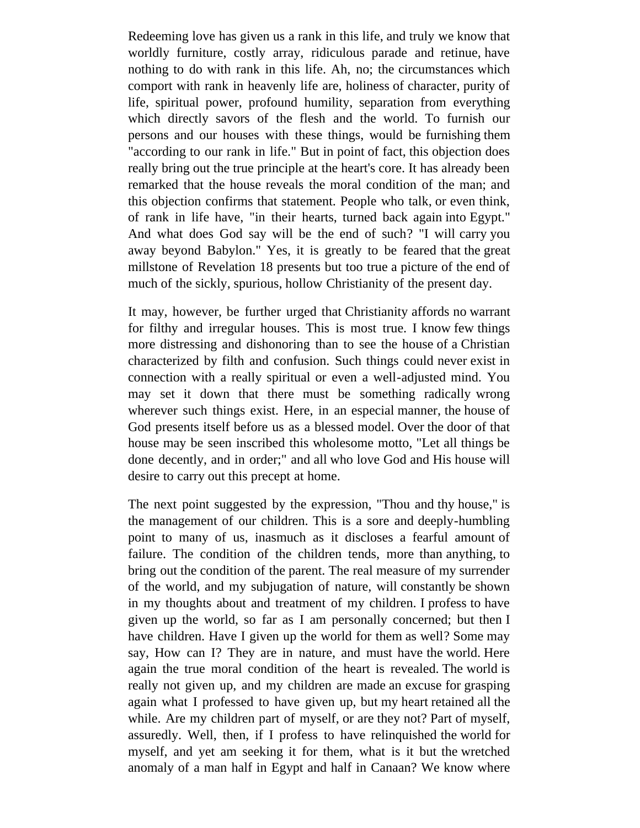Redeeming love has given us a rank in this life, and truly we know that worldly furniture, costly array, ridiculous parade and retinue, have nothing to do with rank in this life. Ah, no; the circumstances which comport with rank in heavenly life are, holiness of character, purity of life, spiritual power, profound humility, separation from everything which directly savors of the flesh and the world. To furnish our persons and our houses with these things, would be furnishing them "according to our rank in life." But in point of fact, this objection does really bring out the true principle at the heart's core. It has already been remarked that the house reveals the moral condition of the man; and this objection confirms that statement. People who talk, or even think, of rank in life have, "in their hearts, turned back again into Egypt." And what does God say will be the end of such? "I will carry you away beyond Babylon." Yes, it is greatly to be feared that the great millstone of Revelation 18 presents but too true a picture of the end of much of the sickly, spurious, hollow Christianity of the present day.

It may, however, be further urged that Christianity affords no warrant for filthy and irregular houses. This is most true. I know few things more distressing and dishonoring than to see the house of a Christian characterized by filth and confusion. Such things could never exist in connection with a really spiritual or even a well-adjusted mind. You may set it down that there must be something radically wrong wherever such things exist. Here, in an especial manner, the house of God presents itself before us as a blessed model. Over the door of that house may be seen inscribed this wholesome motto, "Let all things be done decently, and in order;" and all who love God and His house will desire to carry out this precept at home.

The next point suggested by the expression, "Thou and thy house," is the management of our children. This is a sore and deeply-humbling point to many of us, inasmuch as it discloses a fearful amount of failure. The condition of the children tends, more than anything, to bring out the condition of the parent. The real measure of my surrender of the world, and my subjugation of nature, will constantly be shown in my thoughts about and treatment of my children. I profess to have given up the world, so far as I am personally concerned; but then I have children. Have I given up the world for them as well? Some may say, How can I? They are in nature, and must have the world. Here again the true moral condition of the heart is revealed. The world is really not given up, and my children are made an excuse for grasping again what I professed to have given up, but my heart retained all the while. Are my children part of myself, or are they not? Part of myself, assuredly. Well, then, if I profess to have relinquished the world for myself, and yet am seeking it for them, what is it but the wretched anomaly of a man half in Egypt and half in Canaan? We know where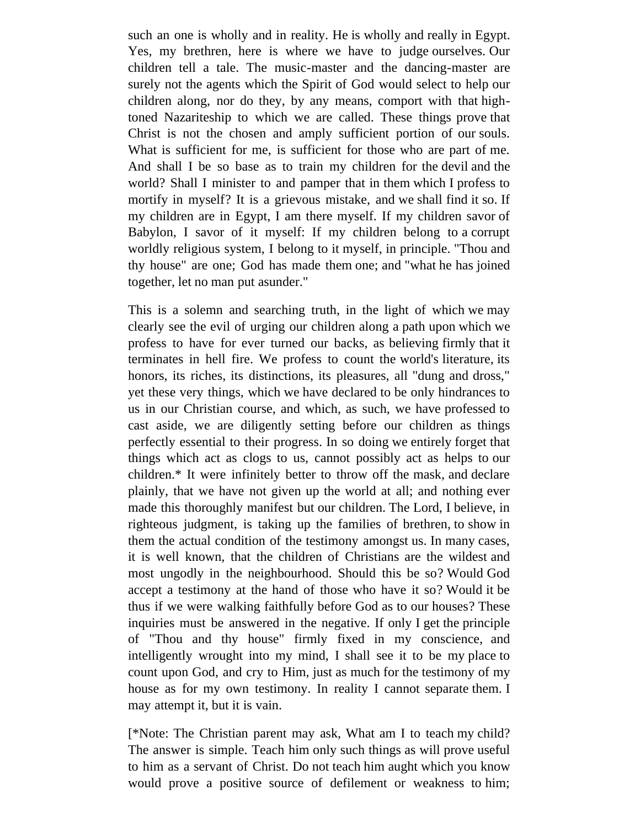such an one is wholly and in reality. He is wholly and really in Egypt. Yes, my brethren, here is where we have to judge ourselves. Our children tell a tale. The music-master and the dancing-master are surely not the agents which the Spirit of God would select to help our children along, nor do they, by any means, comport with that hightoned Nazariteship to which we are called. These things prove that Christ is not the chosen and amply sufficient portion of our souls. What is sufficient for me, is sufficient for those who are part of me. And shall I be so base as to train my children for the devil and the world? Shall I minister to and pamper that in them which I profess to mortify in myself? It is a grievous mistake, and we shall find it so. If my children are in Egypt, I am there myself. If my children savor of Babylon, I savor of it myself: If my children belong to a corrupt worldly religious system, I belong to it myself, in principle. "Thou and thy house" are one; God has made them one; and "what he has joined together, let no man put asunder."

This is a solemn and searching truth, in the light of which we may clearly see the evil of urging our children along a path upon which we profess to have for ever turned our backs, as believing firmly that it terminates in hell fire. We profess to count the world's literature, its honors, its riches, its distinctions, its pleasures, all "dung and dross," yet these very things, which we have declared to be only hindrances to us in our Christian course, and which, as such, we have professed to cast aside, we are diligently setting before our children as things perfectly essential to their progress. In so doing we entirely forget that things which act as clogs to us, cannot possibly act as helps to our children.\* It were infinitely better to throw off the mask, and declare plainly, that we have not given up the world at all; and nothing ever made this thoroughly manifest but our children. The Lord, I believe, in righteous judgment, is taking up the families of brethren, to show in them the actual condition of the testimony amongst us. In many cases, it is well known, that the children of Christians are the wildest and most ungodly in the neighbourhood. Should this be so? Would God accept a testimony at the hand of those who have it so? Would it be thus if we were walking faithfully before God as to our houses? These inquiries must be answered in the negative. If only I get the principle of "Thou and thy house" firmly fixed in my conscience, and intelligently wrought into my mind, I shall see it to be my place to count upon God, and cry to Him, just as much for the testimony of my house as for my own testimony. In reality I cannot separate them. I may attempt it, but it is vain.

[\*Note: The Christian parent may ask, What am I to teach my child? The answer is simple. Teach him only such things as will prove useful to him as a servant of Christ. Do not teach him aught which you know would prove a positive source of defilement or weakness to him;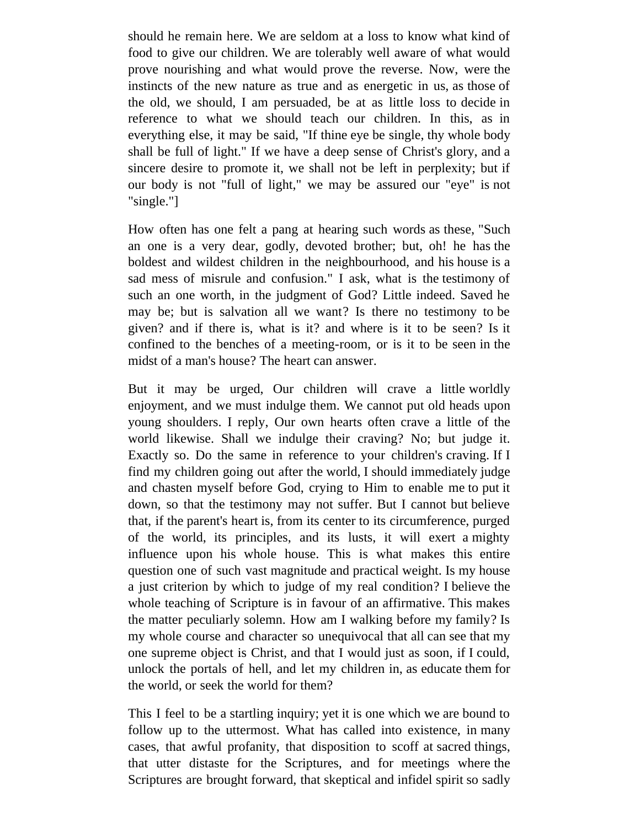should he remain here. We are seldom at a loss to know what kind of food to give our children. We are tolerably well aware of what would prove nourishing and what would prove the reverse. Now, were the instincts of the new nature as true and as energetic in us, as those of the old, we should, I am persuaded, be at as little loss to decide in reference to what we should teach our children. In this, as in everything else, it may be said, "If thine eye be single, thy whole body shall be full of light." If we have a deep sense of Christ's glory, and a sincere desire to promote it, we shall not be left in perplexity; but if our body is not "full of light," we may be assured our "eye" is not "single."]

How often has one felt a pang at hearing such words as these, "Such an one is a very dear, godly, devoted brother; but, oh! he has the boldest and wildest children in the neighbourhood, and his house is a sad mess of misrule and confusion." I ask, what is the testimony of such an one worth, in the judgment of God? Little indeed. Saved he may be; but is salvation all we want? Is there no testimony to be given? and if there is, what is it? and where is it to be seen? Is it confined to the benches of a meeting-room, or is it to be seen in the midst of a man's house? The heart can answer.

But it may be urged, Our children will crave a little worldly enjoyment, and we must indulge them. We cannot put old heads upon young shoulders. I reply, Our own hearts often crave a little of the world likewise. Shall we indulge their craving? No; but judge it. Exactly so. Do the same in reference to your children's craving. If I find my children going out after the world, I should immediately judge and chasten myself before God, crying to Him to enable me to put it down, so that the testimony may not suffer. But I cannot but believe that, if the parent's heart is, from its center to its circumference, purged of the world, its principles, and its lusts, it will exert a mighty influence upon his whole house. This is what makes this entire question one of such vast magnitude and practical weight. Is my house a just criterion by which to judge of my real condition? I believe the whole teaching of Scripture is in favour of an affirmative. This makes the matter peculiarly solemn. How am I walking before my family? Is my whole course and character so unequivocal that all can see that my one supreme object is Christ, and that I would just as soon, if I could, unlock the portals of hell, and let my children in, as educate them for the world, or seek the world for them?

This I feel to be a startling inquiry; yet it is one which we are bound to follow up to the uttermost. What has called into existence, in many cases, that awful profanity, that disposition to scoff at sacred things, that utter distaste for the Scriptures, and for meetings where the Scriptures are brought forward, that skeptical and infidel spirit so sadly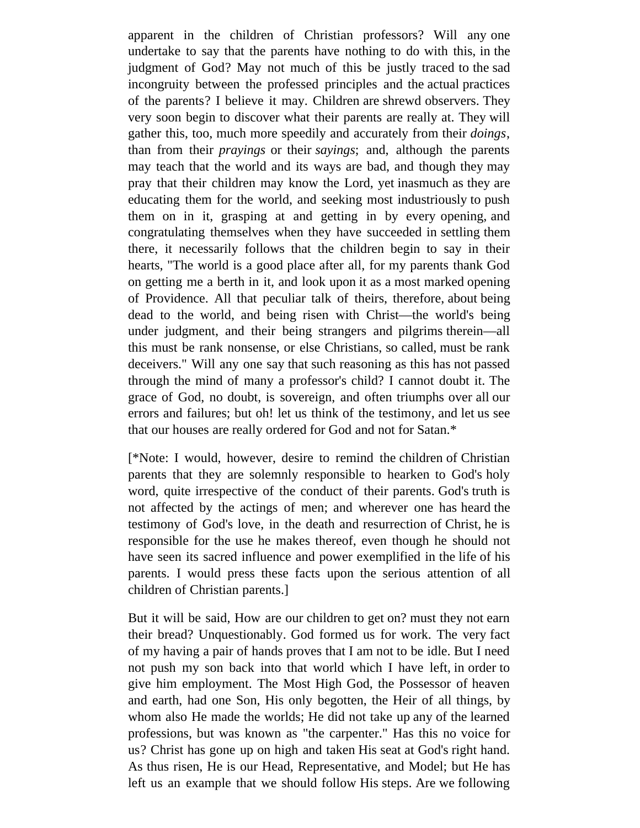apparent in the children of Christian professors? Will any one undertake to say that the parents have nothing to do with this, in the judgment of God? May not much of this be justly traced to the sad incongruity between the professed principles and the actual practices of the parents? I believe it may. Children are shrewd observers. They very soon begin to discover what their parents are really at. They will gather this, too, much more speedily and accurately from their *doings*, than from their *prayings* or their *sayings*; and, although the parents may teach that the world and its ways are bad, and though they may pray that their children may know the Lord, yet inasmuch as they are educating them for the world, and seeking most industriously to push them on in it, grasping at and getting in by every opening, and congratulating themselves when they have succeeded in settling them there, it necessarily follows that the children begin to say in their hearts, "The world is a good place after all, for my parents thank God on getting me a berth in it, and look upon it as a most marked opening of Providence. All that peculiar talk of theirs, therefore, about being dead to the world, and being risen with Christ—the world's being under judgment, and their being strangers and pilgrims therein—all this must be rank nonsense, or else Christians, so called, must be rank deceivers." Will any one say that such reasoning as this has not passed through the mind of many a professor's child? I cannot doubt it. The grace of God, no doubt, is sovereign, and often triumphs over all our errors and failures; but oh! let us think of the testimony, and let us see that our houses are really ordered for God and not for Satan.\*

[\*Note: I would, however, desire to remind the children of Christian parents that they are solemnly responsible to hearken to God's holy word, quite irrespective of the conduct of their parents. God's truth is not affected by the actings of men; and wherever one has heard the testimony of God's love, in the death and resurrection of Christ, he is responsible for the use he makes thereof, even though he should not have seen its sacred influence and power exemplified in the life of his parents. I would press these facts upon the serious attention of all children of Christian parents.]

But it will be said, How are our children to get on? must they not earn their bread? Unquestionably. God formed us for work. The very fact of my having a pair of hands proves that I am not to be idle. But I need not push my son back into that world which I have left, in order to give him employment. The Most High God, the Possessor of heaven and earth, had one Son, His only begotten, the Heir of all things, by whom also He made the worlds; He did not take up any of the learned professions, but was known as "the carpenter." Has this no voice for us? Christ has gone up on high and taken His seat at God's right hand. As thus risen, He is our Head, Representative, and Model; but He has left us an example that we should follow His steps. Are we following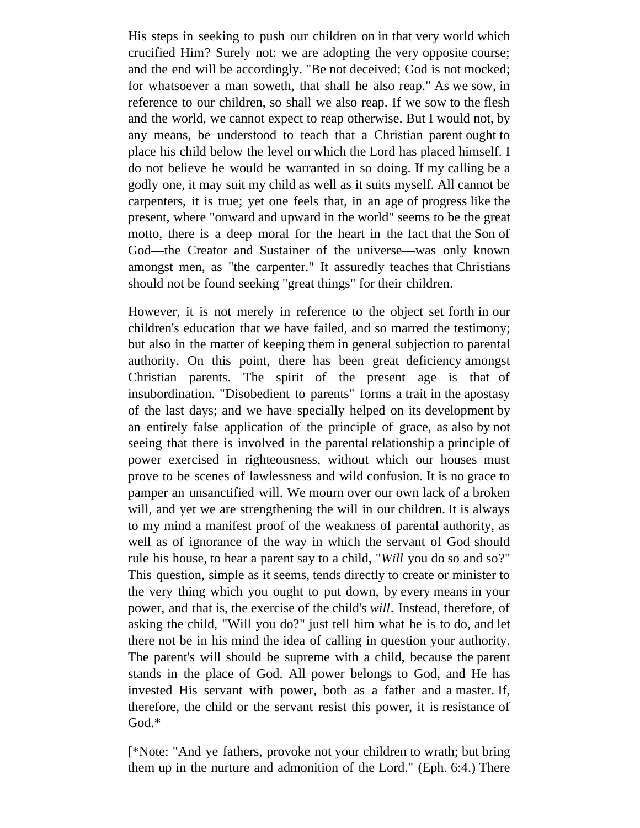His steps in seeking to push our children on in that very world which crucified Him? Surely not: we are adopting the very opposite course; and the end will be accordingly. "Be not deceived; God is not mocked; for whatsoever a man soweth, that shall he also reap." As we sow, in reference to our children, so shall we also reap. If we sow to the flesh and the world, we cannot expect to reap otherwise. But I would not, by any means, be understood to teach that a Christian parent ought to place his child below the level on which the Lord has placed himself. I do not believe he would be warranted in so doing. If my calling be a godly one, it may suit my child as well as it suits myself. All cannot be carpenters, it is true; yet one feels that, in an age of progress like the present, where "onward and upward in the world" seems to be the great motto, there is a deep moral for the heart in the fact that the Son of God—the Creator and Sustainer of the universe—was only known amongst men, as "the carpenter." It assuredly teaches that Christians should not be found seeking "great things" for their children.

However, it is not merely in reference to the object set forth in our children's education that we have failed, and so marred the testimony; but also in the matter of keeping them in general subjection to parental authority. On this point, there has been great deficiency amongst Christian parents. The spirit of the present age is that of insubordination. "Disobedient to parents" forms a trait in the apostasy of the last days; and we have specially helped on its development by an entirely false application of the principle of grace, as also by not seeing that there is involved in the parental relationship a principle of power exercised in righteousness, without which our houses must prove to be scenes of lawlessness and wild confusion. It is no grace to pamper an unsanctified will. We mourn over our own lack of a broken will, and yet we are strengthening the will in our children. It is always to my mind a manifest proof of the weakness of parental authority, as well as of ignorance of the way in which the servant of God should rule his house, to hear a parent say to a child, "*Will* you do so and so?" This question, simple as it seems, tends directly to create or minister to the very thing which you ought to put down, by every means in your power, and that is, the exercise of the child's *will*. Instead, therefore, of asking the child, "Will you do?" just tell him what he is to do, and let there not be in his mind the idea of calling in question your authority. The parent's will should be supreme with a child, because the parent stands in the place of God. All power belongs to God, and He has invested His servant with power, both as a father and a master. If, therefore, the child or the servant resist this power, it is resistance of God.\*

[\*Note: "And ye fathers, provoke not your children to wrath; but bring them up in the nurture and admonition of the Lord." (Eph. 6:4.) There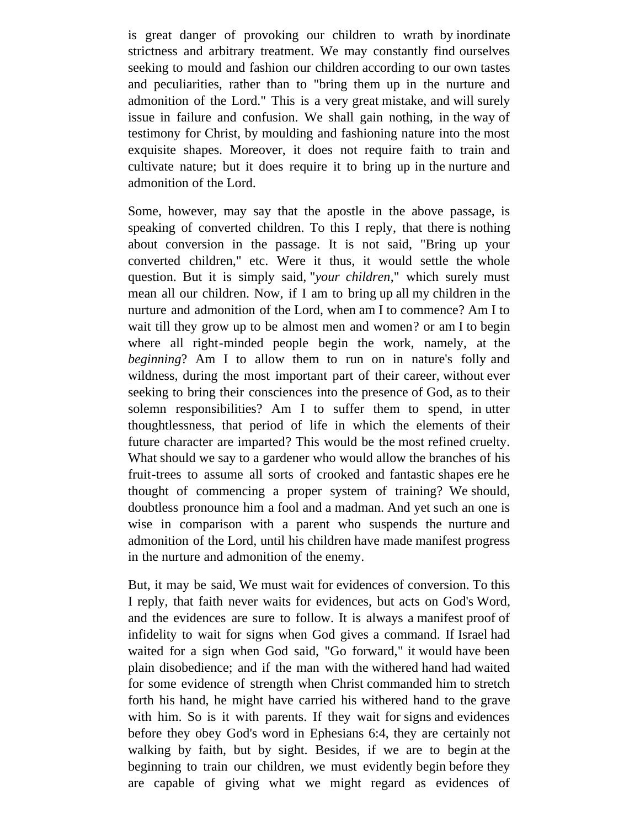is great danger of provoking our children to wrath by inordinate strictness and arbitrary treatment. We may constantly find ourselves seeking to mould and fashion our children according to our own tastes and peculiarities, rather than to "bring them up in the nurture and admonition of the Lord." This is a very great mistake, and will surely issue in failure and confusion. We shall gain nothing, in the way of testimony for Christ, by moulding and fashioning nature into the most exquisite shapes. Moreover, it does not require faith to train and cultivate nature; but it does require it to bring up in the nurture and admonition of the Lord.

Some, however, may say that the apostle in the above passage, is speaking of converted children. To this I reply, that there is nothing about conversion in the passage. It is not said, "Bring up your converted children," etc. Were it thus, it would settle the whole question. But it is simply said, "*your children*," which surely must mean all our children. Now, if I am to bring up all my children in the nurture and admonition of the Lord, when am I to commence? Am I to wait till they grow up to be almost men and women? or am I to begin where all right-minded people begin the work, namely, at the *beginning*? Am I to allow them to run on in nature's folly and wildness, during the most important part of their career, without ever seeking to bring their consciences into the presence of God, as to their solemn responsibilities? Am I to suffer them to spend, in utter thoughtlessness, that period of life in which the elements of their future character are imparted? This would be the most refined cruelty. What should we say to a gardener who would allow the branches of his fruit-trees to assume all sorts of crooked and fantastic shapes ere he thought of commencing a proper system of training? We should, doubtless pronounce him a fool and a madman. And yet such an one is wise in comparison with a parent who suspends the nurture and admonition of the Lord, until his children have made manifest progress in the nurture and admonition of the enemy.

But, it may be said, We must wait for evidences of conversion. To this I reply, that faith never waits for evidences, but acts on God's Word, and the evidences are sure to follow. It is always a manifest proof of infidelity to wait for signs when God gives a command. If Israel had waited for a sign when God said, "Go forward," it would have been plain disobedience; and if the man with the withered hand had waited for some evidence of strength when Christ commanded him to stretch forth his hand, he might have carried his withered hand to the grave with him. So is it with parents. If they wait for signs and evidences before they obey God's word in Ephesians 6:4, they are certainly not walking by faith, but by sight. Besides, if we are to begin at the beginning to train our children, we must evidently begin before they are capable of giving what we might regard as evidences of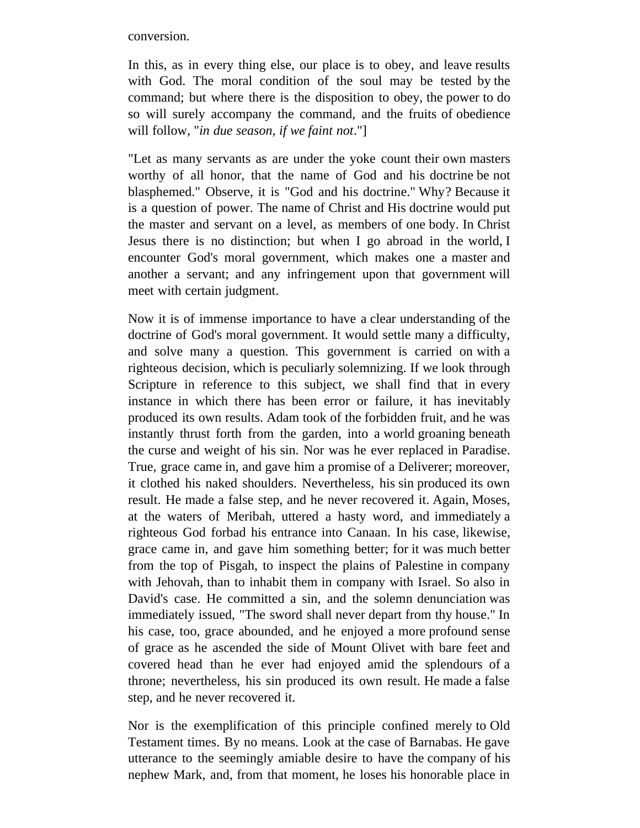conversion.

In this, as in every thing else, our place is to obey, and leave results with God. The moral condition of the soul may be tested by the command; but where there is the disposition to obey, the power to do so will surely accompany the command, and the fruits of obedience will follow, "*in due season, if we faint not*."]

"Let as many servants as are under the yoke count their own masters worthy of all honor, that the name of God and his doctrine be not blasphemed." Observe, it is "God and his doctrine." Why? Because it is a question of power. The name of Christ and His doctrine would put the master and servant on a level, as members of one body. In Christ Jesus there is no distinction; but when I go abroad in the world, I encounter God's moral government, which makes one a master and another a servant; and any infringement upon that government will meet with certain judgment.

Now it is of immense importance to have a clear understanding of the doctrine of God's moral government. It would settle many a difficulty, and solve many a question. This government is carried on with a righteous decision, which is peculiarly solemnizing. If we look through Scripture in reference to this subject, we shall find that in every instance in which there has been error or failure, it has inevitably produced its own results. Adam took of the forbidden fruit, and he was instantly thrust forth from the garden, into a world groaning beneath the curse and weight of his sin. Nor was he ever replaced in Paradise. True, grace came in, and gave him a promise of a Deliverer; moreover, it clothed his naked shoulders. Nevertheless, his sin produced its own result. He made a false step, and he never recovered it. Again, Moses, at the waters of Meribah, uttered a hasty word, and immediately a righteous God forbad his entrance into Canaan. In his case, likewise, grace came in, and gave him something better; for it was much better from the top of Pisgah, to inspect the plains of Palestine in company with Jehovah, than to inhabit them in company with Israel. So also in David's case. He committed a sin, and the solemn denunciation was immediately issued, "The sword shall never depart from thy house." In his case, too, grace abounded, and he enjoyed a more profound sense of grace as he ascended the side of Mount Olivet with bare feet and covered head than he ever had enjoyed amid the splendours of a throne; nevertheless, his sin produced its own result. He made a false step, and he never recovered it.

Nor is the exemplification of this principle confined merely to Old Testament times. By no means. Look at the case of Barnabas. He gave utterance to the seemingly amiable desire to have the company of his nephew Mark, and, from that moment, he loses his honorable place in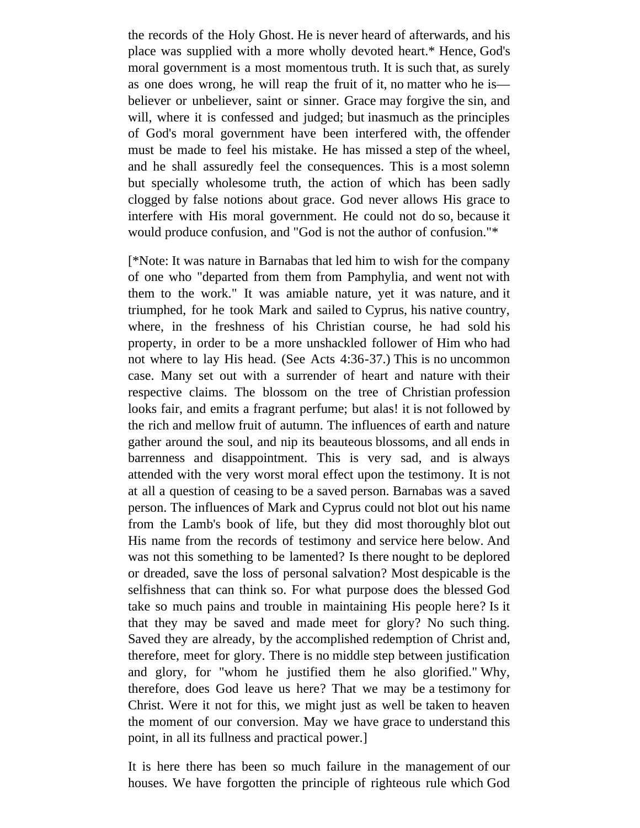the records of the Holy Ghost. He is never heard of afterwards, and his place was supplied with a more wholly devoted heart.\* Hence, God's moral government is a most momentous truth. It is such that, as surely as one does wrong, he will reap the fruit of it, no matter who he is believer or unbeliever, saint or sinner. Grace may forgive the sin, and will, where it is confessed and judged; but inasmuch as the principles of God's moral government have been interfered with, the offender must be made to feel his mistake. He has missed a step of the wheel, and he shall assuredly feel the consequences. This is a most solemn but specially wholesome truth, the action of which has been sadly clogged by false notions about grace. God never allows His grace to interfere with His moral government. He could not do so, because it would produce confusion, and "God is not the author of confusion."\*

[\*Note: It was nature in Barnabas that led him to wish for the company of one who "departed from them from Pamphylia, and went not with them to the work." It was amiable nature, yet it was nature, and it triumphed, for he took Mark and sailed to Cyprus, his native country, where, in the freshness of his Christian course, he had sold his property, in order to be a more unshackled follower of Him who had not where to lay His head. (See Acts 4:36-37.) This is no uncommon case. Many set out with a surrender of heart and nature with their respective claims. The blossom on the tree of Christian profession looks fair, and emits a fragrant perfume; but alas! it is not followed by the rich and mellow fruit of autumn. The influences of earth and nature gather around the soul, and nip its beauteous blossoms, and all ends in barrenness and disappointment. This is very sad, and is always attended with the very worst moral effect upon the testimony. It is not at all a question of ceasing to be a saved person. Barnabas was a saved person. The influences of Mark and Cyprus could not blot out his name from the Lamb's book of life, but they did most thoroughly blot out His name from the records of testimony and service here below. And was not this something to be lamented? Is there nought to be deplored or dreaded, save the loss of personal salvation? Most despicable is the selfishness that can think so. For what purpose does the blessed God take so much pains and trouble in maintaining His people here? Is it that they may be saved and made meet for glory? No such thing. Saved they are already, by the accomplished redemption of Christ and, therefore, meet for glory. There is no middle step between justification and glory, for "whom he justified them he also glorified." Why, therefore, does God leave us here? That we may be a testimony for Christ. Were it not for this, we might just as well be taken to heaven the moment of our conversion. May we have grace to understand this point, in all its fullness and practical power.]

It is here there has been so much failure in the management of our houses. We have forgotten the principle of righteous rule which God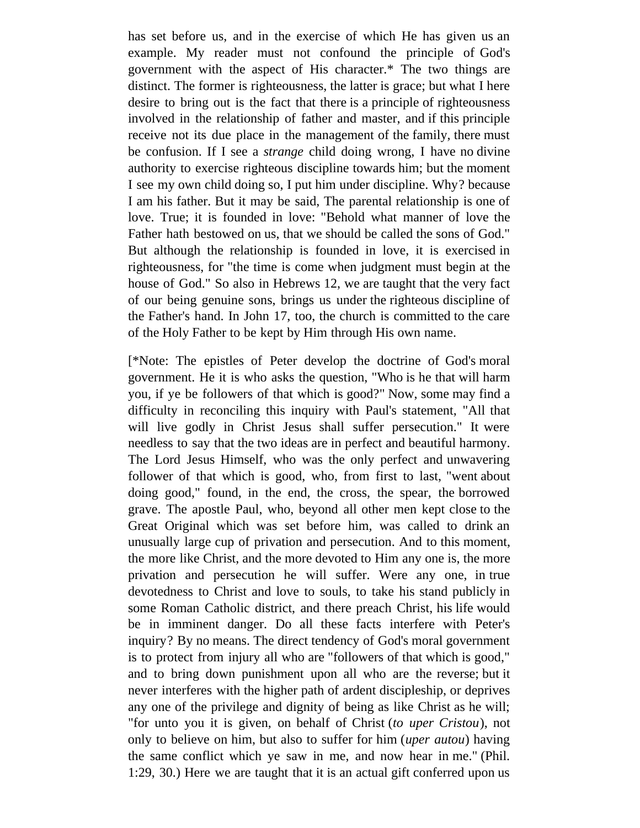has set before us, and in the exercise of which He has given us an example. My reader must not confound the principle of God's government with the aspect of His character.\* The two things are distinct. The former is righteousness, the latter is grace; but what I here desire to bring out is the fact that there is a principle of righteousness involved in the relationship of father and master, and if this principle receive not its due place in the management of the family, there must be confusion. If I see a *strange* child doing wrong, I have no divine authority to exercise righteous discipline towards him; but the moment I see my own child doing so, I put him under discipline. Why? because I am his father. But it may be said, The parental relationship is one of love. True; it is founded in love: "Behold what manner of love the Father hath bestowed on us, that we should be called the sons of God." But although the relationship is founded in love, it is exercised in righteousness, for "the time is come when judgment must begin at the house of God." So also in Hebrews 12, we are taught that the very fact of our being genuine sons, brings us under the righteous discipline of the Father's hand. In John 17, too, the church is committed to the care of the Holy Father to be kept by Him through His own name.

[\*Note: The epistles of Peter develop the doctrine of God's moral government. He it is who asks the question, "Who is he that will harm you, if ye be followers of that which is good?" Now, some may find a difficulty in reconciling this inquiry with Paul's statement, "All that will live godly in Christ Jesus shall suffer persecution." It were needless to say that the two ideas are in perfect and beautiful harmony. The Lord Jesus Himself, who was the only perfect and unwavering follower of that which is good, who, from first to last, "went about doing good," found, in the end, the cross, the spear, the borrowed grave. The apostle Paul, who, beyond all other men kept close to the Great Original which was set before him, was called to drink an unusually large cup of privation and persecution. And to this moment, the more like Christ, and the more devoted to Him any one is, the more privation and persecution he will suffer. Were any one, in true devotedness to Christ and love to souls, to take his stand publicly in some Roman Catholic district, and there preach Christ, his life would be in imminent danger. Do all these facts interfere with Peter's inquiry? By no means. The direct tendency of God's moral government is to protect from injury all who are "followers of that which is good," and to bring down punishment upon all who are the reverse; but it never interferes with the higher path of ardent discipleship, or deprives any one of the privilege and dignity of being as like Christ as he will; "for unto you it is given, on behalf of Christ (*to uper Cristou*), not only to believe on him, but also to suffer for him (*uper autou*) having the same conflict which ye saw in me, and now hear in me." (Phil. 1:29, 30.) Here we are taught that it is an actual gift conferred upon us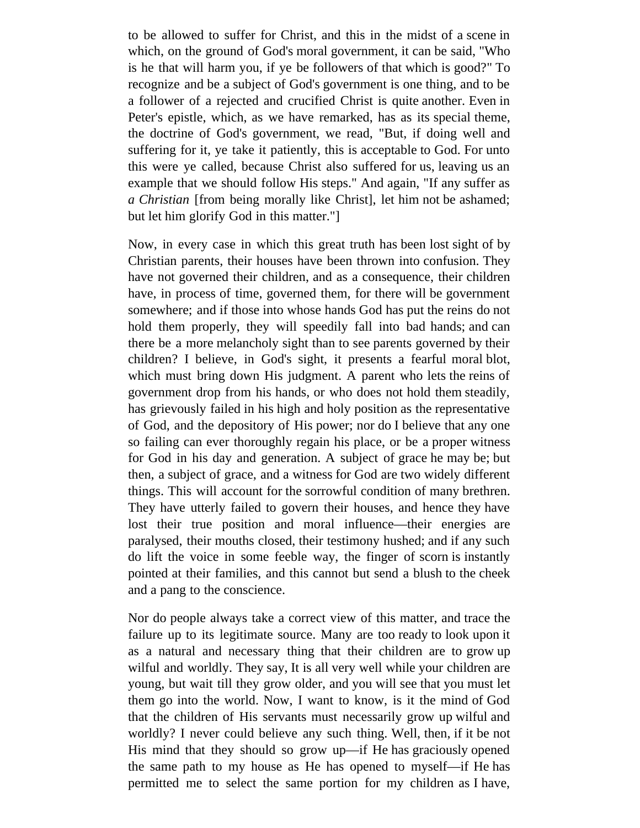to be allowed to suffer for Christ, and this in the midst of a scene in which, on the ground of God's moral government, it can be said, "Who is he that will harm you, if ye be followers of that which is good?" To recognize and be a subject of God's government is one thing, and to be a follower of a rejected and crucified Christ is quite another. Even in Peter's epistle, which, as we have remarked, has as its special theme, the doctrine of God's government, we read, "But, if doing well and suffering for it, ye take it patiently, this is acceptable to God. For unto this were ye called, because Christ also suffered for us, leaving us an example that we should follow His steps." And again, "If any suffer as *a Christian* [from being morally like Christ], let him not be ashamed; but let him glorify God in this matter."]

Now, in every case in which this great truth has been lost sight of by Christian parents, their houses have been thrown into confusion. They have not governed their children, and as a consequence, their children have, in process of time, governed them, for there will be government somewhere; and if those into whose hands God has put the reins do not hold them properly, they will speedily fall into bad hands; and can there be a more melancholy sight than to see parents governed by their children? I believe, in God's sight, it presents a fearful moral blot, which must bring down His judgment. A parent who lets the reins of government drop from his hands, or who does not hold them steadily, has grievously failed in his high and holy position as the representative of God, and the depository of His power; nor do I believe that any one so failing can ever thoroughly regain his place, or be a proper witness for God in his day and generation. A subject of grace he may be; but then, a subject of grace, and a witness for God are two widely different things. This will account for the sorrowful condition of many brethren. They have utterly failed to govern their houses, and hence they have lost their true position and moral influence—their energies are paralysed, their mouths closed, their testimony hushed; and if any such do lift the voice in some feeble way, the finger of scorn is instantly pointed at their families, and this cannot but send a blush to the cheek and a pang to the conscience.

Nor do people always take a correct view of this matter, and trace the failure up to its legitimate source. Many are too ready to look upon it as a natural and necessary thing that their children are to grow up wilful and worldly. They say, It is all very well while your children are young, but wait till they grow older, and you will see that you must let them go into the world. Now, I want to know, is it the mind of God that the children of His servants must necessarily grow up wilful and worldly? I never could believe any such thing. Well, then, if it be not His mind that they should so grow up—if He has graciously opened the same path to my house as He has opened to myself—if He has permitted me to select the same portion for my children as I have,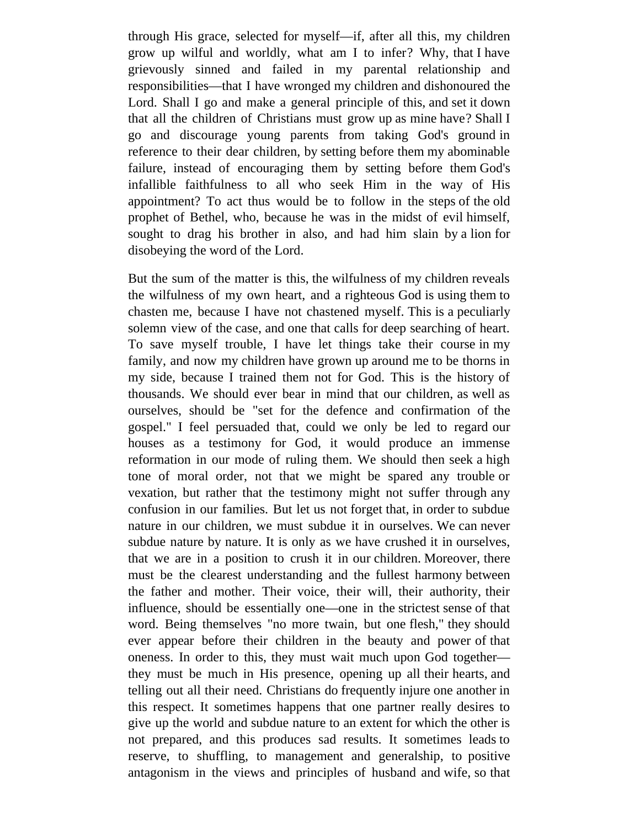through His grace, selected for myself—if, after all this, my children grow up wilful and worldly, what am I to infer? Why, that I have grievously sinned and failed in my parental relationship and responsibilities—that I have wronged my children and dishonoured the Lord. Shall I go and make a general principle of this, and set it down that all the children of Christians must grow up as mine have? Shall I go and discourage young parents from taking God's ground in reference to their dear children, by setting before them my abominable failure, instead of encouraging them by setting before them God's infallible faithfulness to all who seek Him in the way of His appointment? To act thus would be to follow in the steps of the old prophet of Bethel, who, because he was in the midst of evil himself, sought to drag his brother in also, and had him slain by a lion for disobeying the word of the Lord.

But the sum of the matter is this, the wilfulness of my children reveals the wilfulness of my own heart, and a righteous God is using them to chasten me, because I have not chastened myself. This is a peculiarly solemn view of the case, and one that calls for deep searching of heart. To save myself trouble, I have let things take their course in my family, and now my children have grown up around me to be thorns in my side, because I trained them not for God. This is the history of thousands. We should ever bear in mind that our children, as well as ourselves, should be "set for the defence and confirmation of the gospel." I feel persuaded that, could we only be led to regard our houses as a testimony for God, it would produce an immense reformation in our mode of ruling them. We should then seek a high tone of moral order, not that we might be spared any trouble or vexation, but rather that the testimony might not suffer through any confusion in our families. But let us not forget that, in order to subdue nature in our children, we must subdue it in ourselves. We can never subdue nature by nature. It is only as we have crushed it in ourselves, that we are in a position to crush it in our children. Moreover, there must be the clearest understanding and the fullest harmony between the father and mother. Their voice, their will, their authority, their influence, should be essentially one—one in the strictest sense of that word. Being themselves "no more twain, but one flesh," they should ever appear before their children in the beauty and power of that oneness. In order to this, they must wait much upon God together they must be much in His presence, opening up all their hearts, and telling out all their need. Christians do frequently injure one another in this respect. It sometimes happens that one partner really desires to give up the world and subdue nature to an extent for which the other is not prepared, and this produces sad results. It sometimes leads to reserve, to shuffling, to management and generalship, to positive antagonism in the views and principles of husband and wife, so that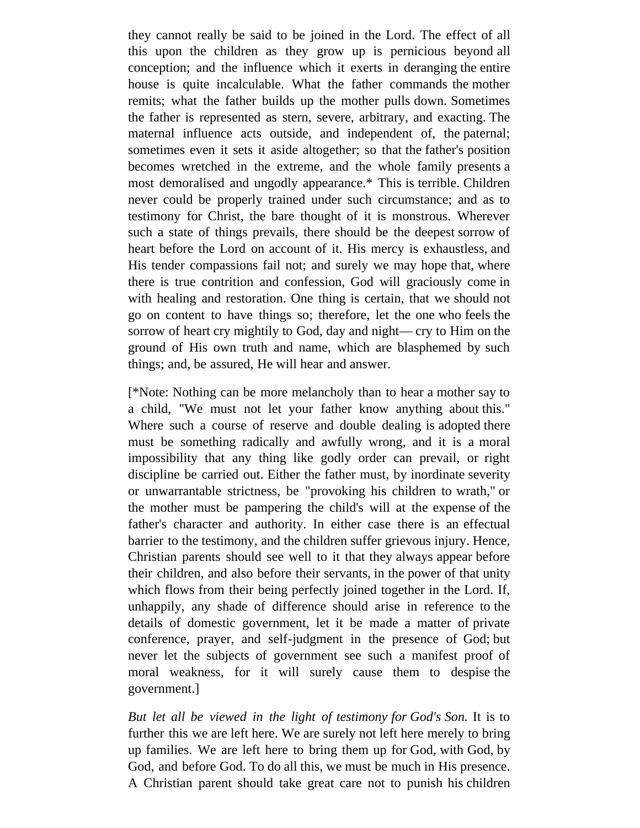they cannot really be said to be joined in the Lord. The effect of all this upon the children as they grow up is pernicious beyond all conception; and the influence which it exerts in deranging the entire house is quite incalculable. What the father commands the mother remits; what the father builds up the mother pulls down. Sometimes the father is represented as stern, severe, arbitrary, and exacting. The maternal influence acts outside, and independent of, the paternal; sometimes even it sets it aside altogether; so that the father's position becomes wretched in the extreme, and the whole family presents a most demoralised and ungodly appearance.\* This is terrible. Children never could be properly trained under such circumstance; and as to testimony for Christ, the bare thought of it is monstrous. Wherever such a state of things prevails, there should be the deepest sorrow of heart before the Lord on account of it. His mercy is exhaustless, and His tender compassions fail not; and surely we may hope that, where there is true contrition and confession, God will graciously come in with healing and restoration. One thing is certain, that we should not go on content to have things so; therefore, let the one who feels the sorrow of heart cry mightily to God, day and night— cry to Him on the ground of His own truth and name, which are blasphemed by such things; and, be assured, He will hear and answer.

[\*Note: Nothing can be more melancholy than to hear a mother say to a child, "We must not let your father know anything about this." Where such a course of reserve and double dealing is adopted there must be something radically and awfully wrong, and it is a moral impossibility that any thing like godly order can prevail, or right discipline be carried out. Either the father must, by inordinate severity or unwarrantable strictness, be "provoking his children to wrath," or the mother must be pampering the child's will at the expense of the father's character and authority. In either case there is an effectual barrier to the testimony, and the children suffer grievous injury. Hence, Christian parents should see well to it that they always appear before their children, and also before their servants, in the power of that unity which flows from their being perfectly joined together in the Lord. If, unhappily, any shade of difference should arise in reference to the details of domestic government, let it be made a matter of private conference, prayer, and self-judgment in the presence of God; but never let the subjects of government see such a manifest proof of moral weakness, for it will surely cause them to despise the government.]

*But let all be viewed in the light of testimony for God's Son.* It is to further this we are left here. We are surely not left here merely to bring up families. We are left here to bring them up for God, with God, by God, and before God. To do all this, we must be much in His presence. A Christian parent should take great care not to punish his children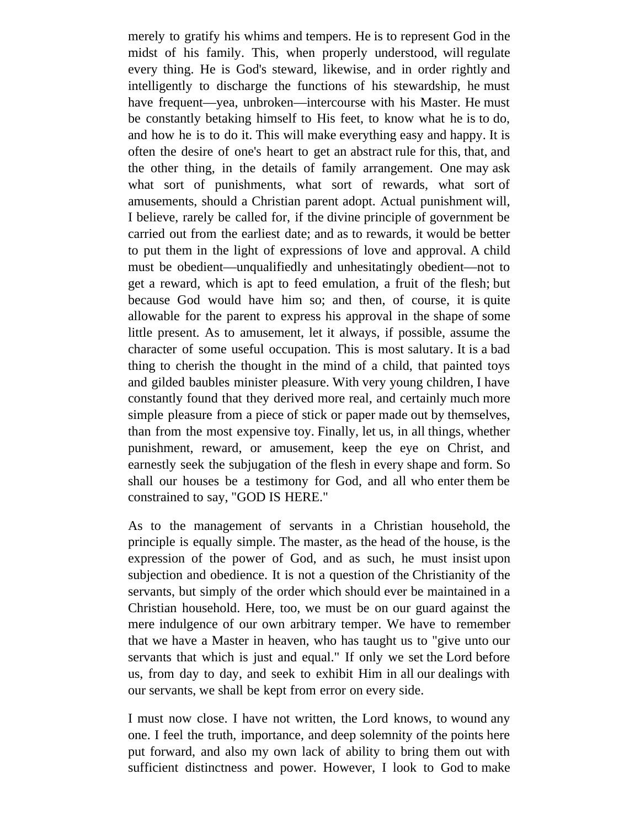merely to gratify his whims and tempers. He is to represent God in the midst of his family. This, when properly understood, will regulate every thing. He is God's steward, likewise, and in order rightly and intelligently to discharge the functions of his stewardship, he must have frequent—yea, unbroken—intercourse with his Master. He must be constantly betaking himself to His feet, to know what he is to do, and how he is to do it. This will make everything easy and happy. It is often the desire of one's heart to get an abstract rule for this, that, and the other thing, in the details of family arrangement. One may ask what sort of punishments, what sort of rewards, what sort of amusements, should a Christian parent adopt. Actual punishment will, I believe, rarely be called for, if the divine principle of government be carried out from the earliest date; and as to rewards, it would be better to put them in the light of expressions of love and approval. A child must be obedient—unqualifiedly and unhesitatingly obedient—not to get a reward, which is apt to feed emulation, a fruit of the flesh; but because God would have him so; and then, of course, it is quite allowable for the parent to express his approval in the shape of some little present. As to amusement, let it always, if possible, assume the character of some useful occupation. This is most salutary. It is a bad thing to cherish the thought in the mind of a child, that painted toys and gilded baubles minister pleasure. With very young children, I have constantly found that they derived more real, and certainly much more simple pleasure from a piece of stick or paper made out by themselves, than from the most expensive toy. Finally, let us, in all things, whether punishment, reward, or amusement, keep the eye on Christ, and earnestly seek the subjugation of the flesh in every shape and form. So shall our houses be a testimony for God, and all who enter them be constrained to say, "GOD IS HERE."

As to the management of servants in a Christian household, the principle is equally simple. The master, as the head of the house, is the expression of the power of God, and as such, he must insist upon subjection and obedience. It is not a question of the Christianity of the servants, but simply of the order which should ever be maintained in a Christian household. Here, too, we must be on our guard against the mere indulgence of our own arbitrary temper. We have to remember that we have a Master in heaven, who has taught us to "give unto our servants that which is just and equal." If only we set the Lord before us, from day to day, and seek to exhibit Him in all our dealings with our servants, we shall be kept from error on every side.

I must now close. I have not written, the Lord knows, to wound any one. I feel the truth, importance, and deep solemnity of the points here put forward, and also my own lack of ability to bring them out with sufficient distinctness and power. However, I look to God to make